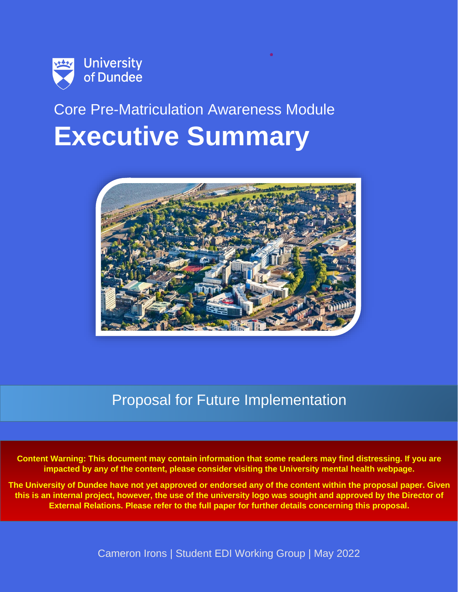

# Core Pre-Matriculation Awareness Module **Executive Summary**



### Proposal for Future Implementation

**Content Warning: This document may contain information that some readers may find distressing. If you are impacted by any of the content, please consider visiting the University mental health webpage.**

**The University of Dundee have not yet approved or endorsed any of the content within the proposal paper. Given this is an internal project, however, the use of the university logo was sought and approved by the Director of External Relations. Please refer to the full paper for further details concerning this proposal.**

Cameron Irons | Student EDI Working Group | May 2022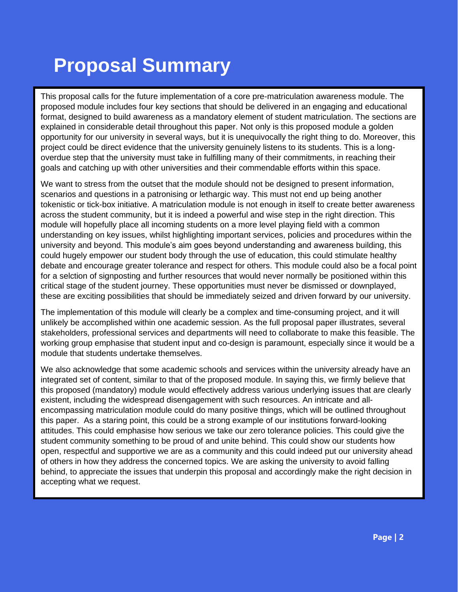# **Proposal Summary**

This proposal calls for the future implementation of a core pre-matriculation awareness module. The proposed module includes four key sections that should be delivered in an engaging and educational format, designed to build awareness as a mandatory element of student matriculation. The sections are explained in considerable detail throughout this paper. Not only is this proposed module a golden opportunity for our university in several ways, but it is unequivocally the right thing to do. Moreover, this project could be direct evidence that the university genuinely listens to its students. This is a longoverdue step that the university must take in fulfilling many of their commitments, in reaching their goals and catching up with other universities and their commendable efforts within this space.

We want to stress from the outset that the module should not be designed to present information, scenarios and questions in a patronising or lethargic way. This must not end up being another tokenistic or tick-box initiative. A matriculation module is not enough in itself to create better awareness across the student community, but it is indeed a powerful and wise step in the right direction. This module will hopefully place all incoming students on a more level playing field with a common understanding on key issues, whilst highlighting important services, policies and procedures within the university and beyond. This module's aim goes beyond understanding and awareness building, this could hugely empower our student body through the use of education, this could stimulate healthy debate and encourage greater tolerance and respect for others. This module could also be a focal point for a selction of signposting and further resources that would never normally be positioned within this critical stage of the student journey. These opportunities must never be dismissed or downplayed, these are exciting possibilities that should be immediately seized and driven forward by our university.

The implementation of this module will clearly be a complex and time-consuming project, and it will unlikely be accomplished within one academic session. As the full proposal paper illustrates, several stakeholders, professional services and departments will need to collaborate to make this feasible. The working group emphasise that student input and co-design is paramount, especially since it would be a module that students undertake themselves.

We also acknowledge that some academic schools and services within the university already have an integrated set of content, similar to that of the proposed module. In saying this, we firmly believe that this proposed (mandatory) module would effectively address various underlying issues that are clearly existent, including the widespread disengagement with such resources. An intricate and allencompassing matriculation module could do many positive things, which will be outlined throughout this paper. As a staring point, this could be a strong example of our institutions forward-looking attitudes. This could emphasise how serious we take our zero tolerance policies. This could give the student community something to be proud of and unite behind. This could show our students how open, respectful and supportive we are as a community and this could indeed put our university ahead of others in how they address the concerned topics. We are asking the university to avoid falling behind, to appreciate the issues that underpin this proposal and accordingly make the right decision in accepting what we request.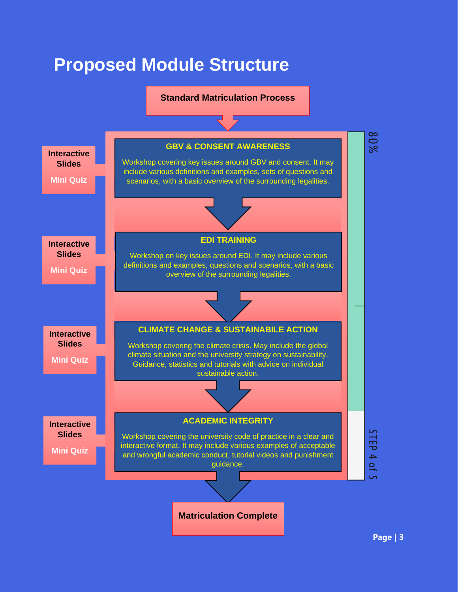## **Proposed Module Structure**

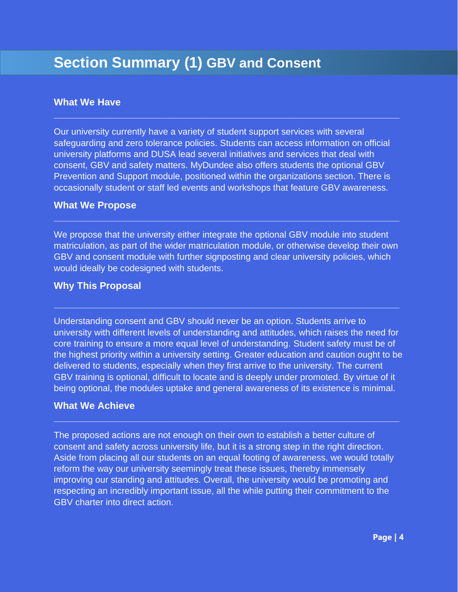### **Section Summary (1) GBV and Consent**

#### **What We Have**

Our university currently have a variety of student support services with several safeguarding and zero tolerance policies. Students can access information on official university platforms and DUSA lead several initiatives and services that deal with consent, GBV and safety matters. MyDundee also offers students the optional GBV Prevention and Support module, positioned within the organizations section. There is occasionally student or staff led events and workshops that feature GBV awareness.

**\_\_\_\_\_\_\_\_\_\_\_\_\_\_\_\_\_\_\_\_\_\_\_\_\_\_\_\_\_\_\_\_\_\_\_\_\_\_\_\_\_\_\_\_\_\_\_\_\_\_\_\_\_\_\_\_\_\_\_\_\_\_\_\_**

#### **What We Propose**

We propose that the university either integrate the optional GBV module into student matriculation, as part of the wider matriculation module, or otherwise develop their own GBV and consent module with further signposting and clear university policies, which would ideally be codesigned with students.

**\_\_\_\_\_\_\_\_\_\_\_\_\_\_\_\_\_\_\_\_\_\_\_\_\_\_\_\_\_\_\_\_\_\_\_\_\_\_\_\_\_\_\_\_\_\_\_\_\_\_\_\_\_\_\_\_\_\_\_\_\_\_\_\_**

#### **Why This Proposal**

Understanding consent and GBV should never be an option. Students arrive to university with different levels of understanding and attitudes, which raises the need for core training to ensure a more equal level of understanding. Student safety must be of the highest priority within a university setting. Greater education and caution ought to be delivered to students, especially when they first arrive to the university. The current GBV training is optional, difficult to locate and is deeply under promoted. By virtue of it being optional, the modules uptake and general awareness of its existence is minimal.

#### **What We Achieve**

The proposed actions are not enough on their own to establish a better culture of consent and safety across university life, but it is a strong step in the right direction. Aside from placing all our students on an equal footing of awareness, we would totally reform the way our university seemingly treat these issues, thereby immensely improving our standing and attitudes. Overall, the university would be promoting and respecting an incredibly important issue, all the while putting their commitment to the GBV charter into direct action.

**\_\_\_\_\_\_\_\_\_\_\_\_\_\_\_\_\_\_\_\_\_\_\_\_\_\_\_\_\_\_\_\_\_\_\_\_\_\_\_\_\_\_\_\_\_\_\_\_\_\_\_\_\_\_\_\_\_\_\_\_\_\_\_\_**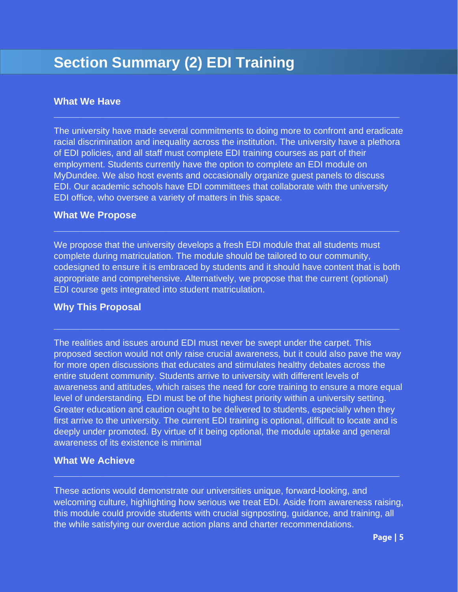### **Section Summary (2) EDI Training**

#### **What We Have**

The university have made several commitments to doing more to confront and eradicate racial discrimination and inequality across the institution. The university have a plethora of EDI policies, and all staff must complete EDI training courses as part of their employment. Students currently have the option to complete an EDI module on MyDundee. We also host events and occasionally organize guest panels to discuss EDI. Our academic schools have EDI committees that collaborate with the university EDI office, who oversee a variety of matters in this space.

**\_\_\_\_\_\_\_\_\_\_\_\_\_\_\_\_\_\_\_\_\_\_\_\_\_\_\_\_\_\_\_\_\_\_\_\_\_\_\_\_\_\_\_\_\_\_\_\_\_\_\_\_\_\_\_\_\_\_\_\_\_\_\_\_**

#### **What We Propose**

We propose that the university develops a fresh EDI module that all students must complete during matriculation. The module should be tailored to our community, codesigned to ensure it is embraced by students and it should have content that is both appropriate and comprehensive. Alternatively, we propose that the current (optional) EDI course gets integrated into student matriculation.

**\_\_\_\_\_\_\_\_\_\_\_\_\_\_\_\_\_\_\_\_\_\_\_\_\_\_\_\_\_\_\_\_\_\_\_\_\_\_\_\_\_\_\_\_\_\_\_\_\_\_\_\_\_\_\_\_\_\_\_\_\_\_\_\_**

**\_\_\_\_\_\_\_\_\_\_\_\_\_\_\_\_\_\_\_\_\_\_\_\_\_\_\_\_\_\_\_\_\_\_\_\_\_\_\_\_\_\_\_\_\_\_\_\_\_\_\_\_\_\_\_\_\_\_\_\_\_\_\_\_**

#### **Why This Proposal**

The realities and issues around EDI must never be swept under the carpet. This proposed section would not only raise crucial awareness, but it could also pave the way for more open discussions that educates and stimulates healthy debates across the entire student community. Students arrive to university with different levels of awareness and attitudes, which raises the need for core training to ensure a more equal level of understanding. EDI must be of the highest priority within a university setting. Greater education and caution ought to be delivered to students, especially when they first arrive to the university. The current EDI training is optional, difficult to locate and is deeply under promoted. By virtue of it being optional, the module uptake and general awareness of its existence is minimal

#### **What We Achieve**

These actions would demonstrate our universities unique, forward-looking, and welcoming culture, highlighting how serious we treat EDI. Aside from awareness raising, this module could provide students with crucial signposting, guidance, and training, all the while satisfying our overdue action plans and charter recommendations.

**\_\_\_\_\_\_\_\_\_\_\_\_\_\_\_\_\_\_\_\_\_\_\_\_\_\_\_\_\_\_\_\_\_\_\_\_\_\_\_\_\_\_\_\_\_\_\_\_\_\_\_\_\_\_\_\_\_\_\_\_\_\_\_\_**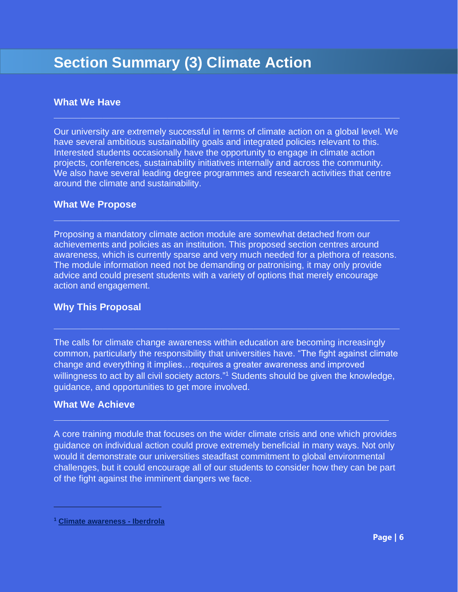### **Section Summary (3) Climate Action**

#### **What We Have**

Our university are extremely successful in terms of climate action on a global level. We have several ambitious sustainability goals and integrated policies relevant to this. Interested students occasionally have the opportunity to engage in climate action projects, conferences, sustainability initiatives internally and across the community. We also have several leading degree programmes and research activities that centre around the climate and sustainability.

**\_\_\_\_\_\_\_\_\_\_\_\_\_\_\_\_\_\_\_\_\_\_\_\_\_\_\_\_\_\_\_\_\_\_\_\_\_\_\_\_\_\_\_\_\_\_\_\_\_\_\_\_\_\_\_\_\_\_\_\_\_\_\_\_**

#### **What We Propose**

Proposing a mandatory climate action module are somewhat detached from our achievements and policies as an institution. This proposed section centres around awareness, which is currently sparse and very much needed for a plethora of reasons. The module information need not be demanding or patronising, it may only provide advice and could present students with a variety of options that merely encourage action and engagement.

**\_\_\_\_\_\_\_\_\_\_\_\_\_\_\_\_\_\_\_\_\_\_\_\_\_\_\_\_\_\_\_\_\_\_\_\_\_\_\_\_\_\_\_\_\_\_\_\_\_\_\_\_\_\_\_\_\_\_\_\_\_\_\_\_**

#### **Why This Proposal**

The calls for climate change awareness within education are becoming increasingly common, particularly the responsibility that universities have. "The fight against climate change and everything it implies…requires a greater awareness and improved willingness to act by all civil society actors."<sup>1</sup> Students should be given the knowledge, guidance, and opportunities to get more involved.

**\_\_\_\_\_\_\_\_\_\_\_\_\_\_\_\_\_\_\_\_\_\_\_\_\_\_\_\_\_\_\_\_\_\_\_\_\_\_\_\_\_\_\_\_\_\_\_\_\_\_\_\_\_\_\_\_\_\_\_\_\_\_\_\_**

#### **What We Achieve**

A core training module that focuses on the wider climate crisis and one which provides guidance on individual action could prove extremely beneficial in many ways. Not only would it demonstrate our universities steadfast commitment to global environmental challenges, but it could encourage all of our students to consider how they can be part of the fight against the imminent dangers we face.

**\_\_\_\_\_\_\_\_\_\_\_\_\_\_\_\_\_\_\_\_\_\_\_\_\_\_\_\_\_\_\_\_\_\_\_\_\_\_\_\_\_\_\_\_\_\_\_\_\_\_\_\_\_\_\_\_\_\_\_\_\_\_**

**<sup>1</sup> [Climate awareness -](https://www.iberdrola.com/sustainability/against-climate-change/environmental-awareness) Iberdrola**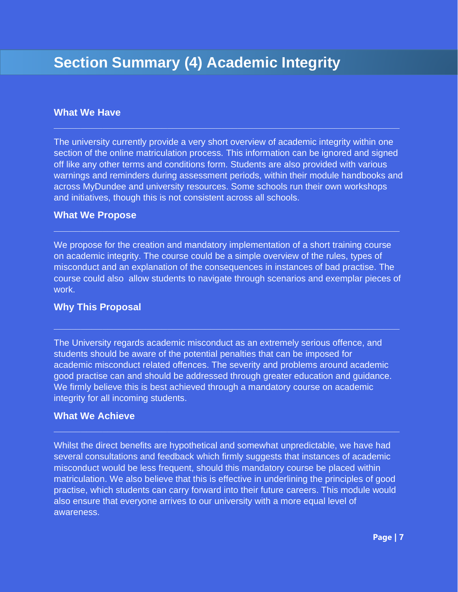#### **What We Have**

The university currently provide a very short overview of academic integrity within one section of the online matriculation process. This information can be ignored and signed off like any other terms and conditions form. Students are also provided with various warnings and reminders during assessment periods, within their module handbooks and across MyDundee and university resources. Some schools run their own workshops and initiatives, though this is not consistent across all schools.

**\_\_\_\_\_\_\_\_\_\_\_\_\_\_\_\_\_\_\_\_\_\_\_\_\_\_\_\_\_\_\_\_\_\_\_\_\_\_\_\_\_\_\_\_\_\_\_\_\_\_\_\_\_\_\_\_\_\_\_\_\_\_\_\_**

#### **What We Propose**

We propose for the creation and mandatory implementation of a short training course on academic integrity. The course could be a simple overview of the rules, types of misconduct and an explanation of the consequences in instances of bad practise. The course could also allow students to navigate through scenarios and exemplar pieces of work.

**\_\_\_\_\_\_\_\_\_\_\_\_\_\_\_\_\_\_\_\_\_\_\_\_\_\_\_\_\_\_\_\_\_\_\_\_\_\_\_\_\_\_\_\_\_\_\_\_\_\_\_\_\_\_\_\_\_\_\_\_\_\_\_\_**

**\_\_\_\_\_\_\_\_\_\_\_\_\_\_\_\_\_\_\_\_\_\_\_\_\_\_\_\_\_\_\_\_\_\_\_\_\_\_\_\_\_\_\_\_\_\_\_\_\_\_\_\_\_\_\_\_\_\_\_\_\_\_\_\_**

#### **Why This Proposal**

The University regards academic misconduct as an extremely serious offence, and students should be aware of the potential penalties that can be imposed for academic misconduct related offences. The severity and problems around academic good practise can and should be addressed through greater education and guidance. We firmly believe this is best achieved through a mandatory course on academic integrity for all incoming students.

#### **What We Achieve**

Whilst the direct benefits are hypothetical and somewhat unpredictable, we have had several consultations and feedback which firmly suggests that instances of academic misconduct would be less frequent, should this mandatory course be placed within matriculation. We also believe that this is effective in underlining the principles of good practise, which students can carry forward into their future careers. This module would also ensure that everyone arrives to our university with a more equal level of awareness.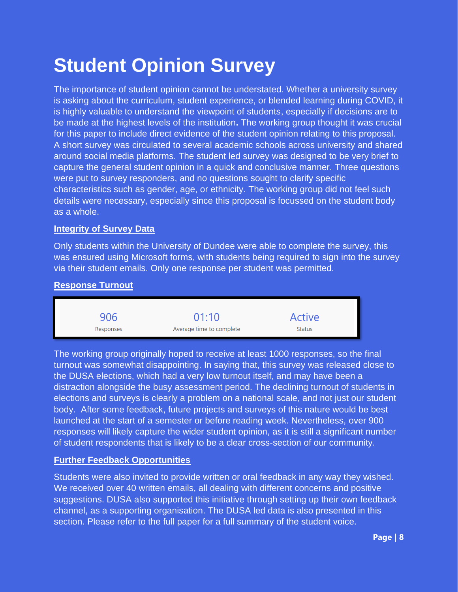# **Student Opinion Survey**

The importance of student opinion cannot be understated. Whether a university survey is asking about the curriculum, student experience, or blended learning during COVID, it is highly valuable to understand the viewpoint of students, especially if decisions are to be made at the highest levels of the institution**.** The working group thought it was crucial for this paper to include direct evidence of the student opinion relating to this proposal. A short survey was circulated to several academic schools across university and shared around social media platforms. The student led survey was designed to be very brief to capture the general student opinion in a quick and conclusive manner. Three questions were put to survey responders, and no questions sought to clarify specific characteristics such as gender, age, or ethnicity. The working group did not feel such details were necessary, especially since this proposal is focussed on the student body as a whole.

#### **Integrity of Survey Data**

Only students within the University of Dundee were able to complete the survey, this was ensured using Microsoft forms, with students being required to sign into the survey via their student emails. Only one response per student was permitted.

#### **Response Turnout**

906  $01:10$ **Active** Average time to complete **Status** Responses

The working group originally hoped to receive at least 1000 responses, so the final turnout was somewhat disappointing. In saying that, this survey was released close to the DUSA elections, which had a very low turnout itself, and may have been a distraction alongside the busy assessment period. The declining turnout of students in elections and surveys is clearly a problem on a national scale, and not just our student body. After some feedback, future projects and surveys of this nature would be best launched at the start of a semester or before reading week. Nevertheless, over 900 responses will likely capture the wider student opinion, as it is still a significant number of student respondents that is likely to be a clear cross-section of our community.

#### **Further Feedback Opportunities**

Students were also invited to provide written or oral feedback in any way they wished. We received over 40 written emails, all dealing with different concerns and positive suggestions. DUSA also supported this initiative through setting up their own feedback channel, as a supporting organisation. The DUSA led data is also presented in this section. Please refer to the full paper for a full summary of the student voice.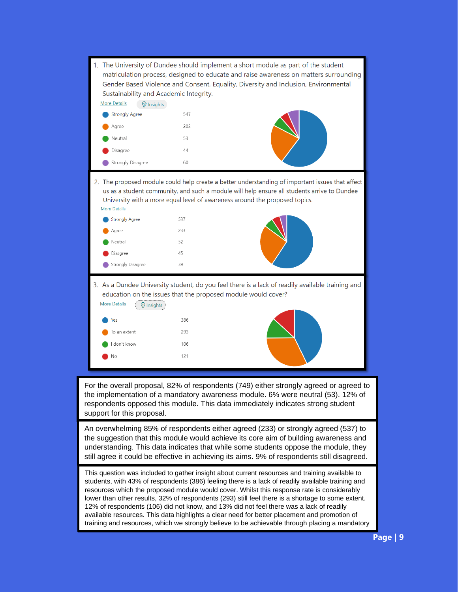|                                                                                                                                                                                                                                                                                                                                                                                                                                                                                                                                                                                                                                                                                                     |                                                                              | 1. The University of Dundee should implement a short module as part of the student<br>matriculation process, designed to educate and raise awareness on matters surrounding<br>Gender Based Violence and Consent, Equality, Diversity and Inclusion, Environmental<br>Sustainability and Academic Integrity. |                                                                                                                                                                                                                                                                               |  |
|-----------------------------------------------------------------------------------------------------------------------------------------------------------------------------------------------------------------------------------------------------------------------------------------------------------------------------------------------------------------------------------------------------------------------------------------------------------------------------------------------------------------------------------------------------------------------------------------------------------------------------------------------------------------------------------------------------|------------------------------------------------------------------------------|--------------------------------------------------------------------------------------------------------------------------------------------------------------------------------------------------------------------------------------------------------------------------------------------------------------|-------------------------------------------------------------------------------------------------------------------------------------------------------------------------------------------------------------------------------------------------------------------------------|--|
|                                                                                                                                                                                                                                                                                                                                                                                                                                                                                                                                                                                                                                                                                                     | <b>More Details</b><br>W Insights                                            |                                                                                                                                                                                                                                                                                                              |                                                                                                                                                                                                                                                                               |  |
|                                                                                                                                                                                                                                                                                                                                                                                                                                                                                                                                                                                                                                                                                                     | <b>Strongly Agree</b>                                                        | 547                                                                                                                                                                                                                                                                                                          |                                                                                                                                                                                                                                                                               |  |
|                                                                                                                                                                                                                                                                                                                                                                                                                                                                                                                                                                                                                                                                                                     | Agree                                                                        | 202                                                                                                                                                                                                                                                                                                          |                                                                                                                                                                                                                                                                               |  |
|                                                                                                                                                                                                                                                                                                                                                                                                                                                                                                                                                                                                                                                                                                     | Neutral                                                                      | 53                                                                                                                                                                                                                                                                                                           |                                                                                                                                                                                                                                                                               |  |
|                                                                                                                                                                                                                                                                                                                                                                                                                                                                                                                                                                                                                                                                                                     | Disagree                                                                     | 44                                                                                                                                                                                                                                                                                                           |                                                                                                                                                                                                                                                                               |  |
|                                                                                                                                                                                                                                                                                                                                                                                                                                                                                                                                                                                                                                                                                                     | Strongly Disagree                                                            | 60                                                                                                                                                                                                                                                                                                           |                                                                                                                                                                                                                                                                               |  |
|                                                                                                                                                                                                                                                                                                                                                                                                                                                                                                                                                                                                                                                                                                     | <b>More Details</b><br><b>Strongly Agree</b><br>Agree<br>Neutral             | 537<br>233<br>52                                                                                                                                                                                                                                                                                             | 2. The proposed module could help create a better understanding of important issues that affect<br>us as a student community, and such a module will help ensure all students arrive to Dundee<br>University with a more equal level of awareness around the proposed topics. |  |
|                                                                                                                                                                                                                                                                                                                                                                                                                                                                                                                                                                                                                                                                                                     | Disagree                                                                     | 45                                                                                                                                                                                                                                                                                                           |                                                                                                                                                                                                                                                                               |  |
|                                                                                                                                                                                                                                                                                                                                                                                                                                                                                                                                                                                                                                                                                                     | Strongly Disagree                                                            | 39                                                                                                                                                                                                                                                                                                           |                                                                                                                                                                                                                                                                               |  |
|                                                                                                                                                                                                                                                                                                                                                                                                                                                                                                                                                                                                                                                                                                     | <b>More Details</b><br>W Insights<br>Yes<br>To an extent<br>don't know<br>Νo | 386<br>293<br>106<br>121                                                                                                                                                                                                                                                                                     | 3. As a Dundee University student, do you feel there is a lack of readily available training and<br>education on the issues that the proposed module would cover?                                                                                                             |  |
| For the overall proposal, 82% of respondents (749) either strongly agreed or agreed to<br>the implementation of a mandatory awareness module. 6% were neutral (53). 12% of<br>respondents opposed this module. This data immediately indicates strong student<br>support for this proposal.                                                                                                                                                                                                                                                                                                                                                                                                         |                                                                              |                                                                                                                                                                                                                                                                                                              |                                                                                                                                                                                                                                                                               |  |
| An overwhelming 85% of respondents either agreed (233) or strongly agreed (537) to<br>the suggestion that this module would achieve its core aim of building awareness and<br>understanding. This data indicates that while some students oppose the module, they<br>still agree it could be effective in achieving its aims. 9% of respondents still disagreed.                                                                                                                                                                                                                                                                                                                                    |                                                                              |                                                                                                                                                                                                                                                                                                              |                                                                                                                                                                                                                                                                               |  |
| This question was included to gather insight about current resources and training available to<br>students, with 43% of respondents (386) feeling there is a lack of readily available training and<br>resources which the proposed module would cover. Whilst this response rate is considerably<br>lower than other results, 32% of respondents (293) still feel there is a shortage to some extent.<br>12% of respondents (106) did not know, and 13% did not feel there was a lack of readily<br>available resources. This data highlights a clear need for better placement and promotion of<br>training and resources, which we strongly believe to be achievable through placing a mandatory |                                                                              |                                                                                                                                                                                                                                                                                                              |                                                                                                                                                                                                                                                                               |  |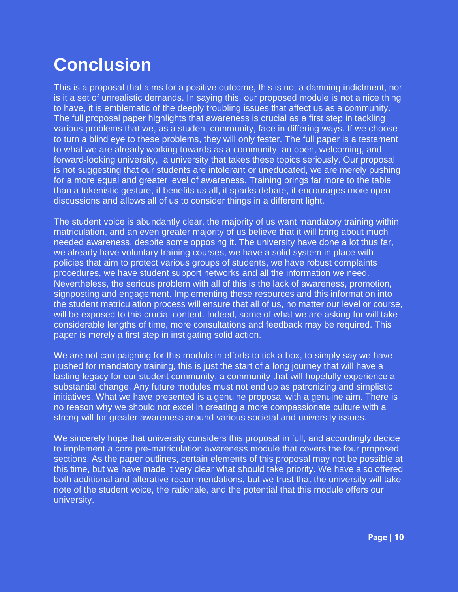## **Conclusion**

This is a proposal that aims for a positive outcome, this is not a damning indictment, nor is it a set of unrealistic demands. In saying this, our proposed module is not a nice thing to have, it is emblematic of the deeply troubling issues that affect us as a community. The full proposal paper highlights that awareness is crucial as a first step in tackling various problems that we, as a student community, face in differing ways. If we choose to turn a blind eye to these problems, they will only fester. The full paper is a testament to what we are already working towards as a community, an open, welcoming, and forward-looking university, a university that takes these topics seriously. Our proposal is not suggesting that our students are intolerant or uneducated, we are merely pushing for a more equal and greater level of awareness. Training brings far more to the table than a tokenistic gesture, it benefits us all, it sparks debate, it encourages more open discussions and allows all of us to consider things in a different light.

The student voice is abundantly clear, the majority of us want mandatory training within matriculation, and an even greater majority of us believe that it will bring about much needed awareness, despite some opposing it. The university have done a lot thus far, we already have voluntary training courses, we have a solid system in place with policies that aim to protect various groups of students, we have robust complaints procedures, we have student support networks and all the information we need. Nevertheless, the serious problem with all of this is the lack of awareness, promotion, signposting and engagement. Implementing these resources and this information into the student matriculation process will ensure that all of us, no matter our level or course, will be exposed to this crucial content. Indeed, some of what we are asking for will take considerable lengths of time, more consultations and feedback may be required. This paper is merely a first step in instigating solid action.

We are not campaigning for this module in efforts to tick a box, to simply say we have pushed for mandatory training, this is just the start of a long journey that will have a lasting legacy for our student community, a community that will hopefully experience a substantial change. Any future modules must not end up as patronizing and simplistic initiatives. What we have presented is a genuine proposal with a genuine aim. There is no reason why we should not excel in creating a more compassionate culture with a strong will for greater awareness around various societal and university issues.

We sincerely hope that university considers this proposal in full, and accordingly decide to implement a core pre-matriculation awareness module that covers the four proposed sections. As the paper outlines, certain elements of this proposal may not be possible at this time, but we have made it very clear what should take priority. We have also offered both additional and alterative recommendations, but we trust that the university will take note of the student voice, the rationale, and the potential that this module offers our university.